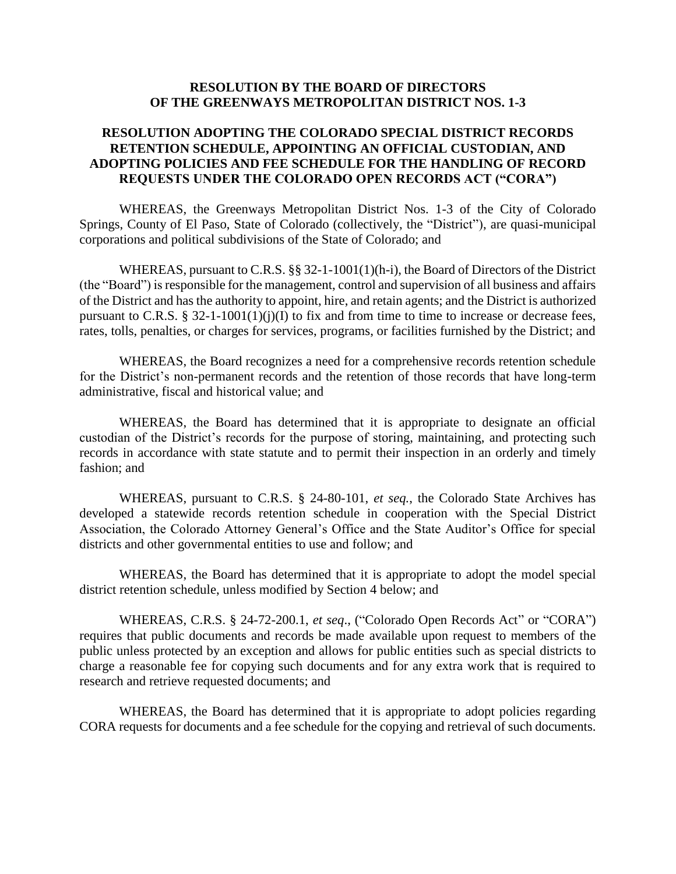## **RESOLUTION BY THE BOARD OF DIRECTORS OF THE GREENWAYS METROPOLITAN DISTRICT NOS. 1-3**

## **RESOLUTION ADOPTING THE COLORADO SPECIAL DISTRICT RECORDS RETENTION SCHEDULE, APPOINTING AN OFFICIAL CUSTODIAN, AND ADOPTING POLICIES AND FEE SCHEDULE FOR THE HANDLING OF RECORD REQUESTS UNDER THE COLORADO OPEN RECORDS ACT ("CORA")**

WHEREAS, the Greenways Metropolitan District Nos. 1-3 of the City of Colorado Springs, County of El Paso, State of Colorado (collectively, the "District"), are quasi-municipal corporations and political subdivisions of the State of Colorado; and

WHEREAS, pursuant to C.R.S. §§ 32-1-1001(1)(h-i), the Board of Directors of the District (the "Board") is responsible for the management, control and supervision of all business and affairs of the District and has the authority to appoint, hire, and retain agents; and the District is authorized pursuant to C.R.S. § 32-1-1001(1)(j)(I) to fix and from time to time to increase or decrease fees, rates, tolls, penalties, or charges for services, programs, or facilities furnished by the District; and

WHEREAS, the Board recognizes a need for a comprehensive records retention schedule for the District's non-permanent records and the retention of those records that have long-term administrative, fiscal and historical value; and

WHEREAS, the Board has determined that it is appropriate to designate an official custodian of the District's records for the purpose of storing, maintaining, and protecting such records in accordance with state statute and to permit their inspection in an orderly and timely fashion; and

WHEREAS, pursuant to C.R.S. § 24-80-101, *et seq.*, the Colorado State Archives has developed a statewide records retention schedule in cooperation with the Special District Association, the Colorado Attorney General's Office and the State Auditor's Office for special districts and other governmental entities to use and follow; and

WHEREAS, the Board has determined that it is appropriate to adopt the model special district retention schedule, unless modified by Section 4 below; and

WHEREAS, C.R.S. § 24-72-200.1, *et seq*., ("Colorado Open Records Act" or "CORA") requires that public documents and records be made available upon request to members of the public unless protected by an exception and allows for public entities such as special districts to charge a reasonable fee for copying such documents and for any extra work that is required to research and retrieve requested documents; and

WHEREAS, the Board has determined that it is appropriate to adopt policies regarding CORA requests for documents and a fee schedule for the copying and retrieval of such documents.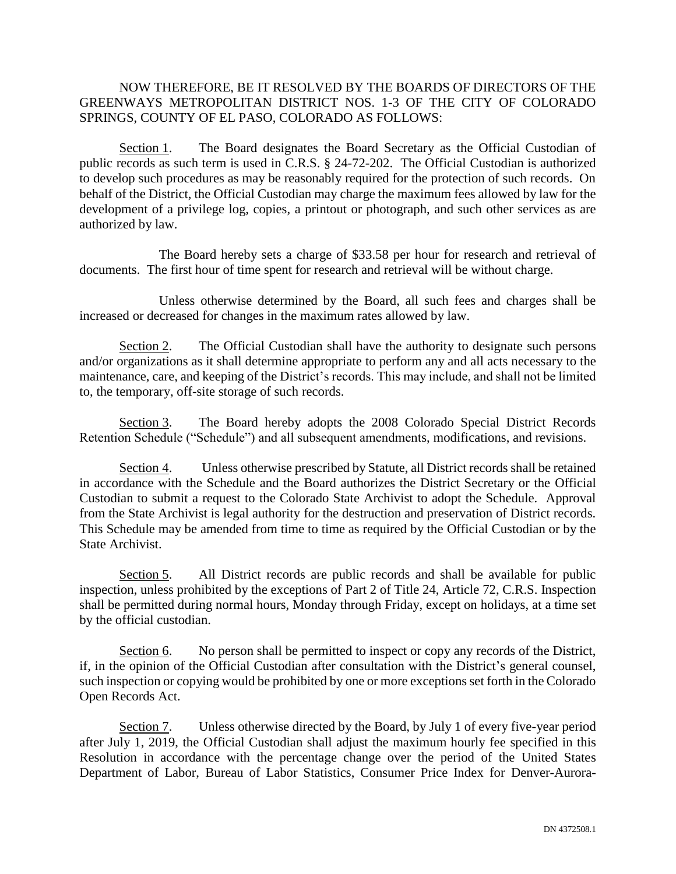## NOW THEREFORE, BE IT RESOLVED BY THE BOARDS OF DIRECTORS OF THE GREENWAYS METROPOLITAN DISTRICT NOS. 1-3 OF THE CITY OF COLORADO SPRINGS, COUNTY OF EL PASO, COLORADO AS FOLLOWS:

Section 1. The Board designates the Board Secretary as the Official Custodian of public records as such term is used in C.R.S. § 24-72-202. The Official Custodian is authorized to develop such procedures as may be reasonably required for the protection of such records. On behalf of the District, the Official Custodian may charge the maximum fees allowed by law for the development of a privilege log, copies, a printout or photograph, and such other services as are authorized by law.

The Board hereby sets a charge of \$33.58 per hour for research and retrieval of documents. The first hour of time spent for research and retrieval will be without charge.

Unless otherwise determined by the Board, all such fees and charges shall be increased or decreased for changes in the maximum rates allowed by law.

Section 2. The Official Custodian shall have the authority to designate such persons and/or organizations as it shall determine appropriate to perform any and all acts necessary to the maintenance, care, and keeping of the District's records. This may include, and shall not be limited to, the temporary, off-site storage of such records.

Section 3. The Board hereby adopts the 2008 Colorado Special District Records Retention Schedule ("Schedule") and all subsequent amendments, modifications, and revisions.

Section 4. Unless otherwise prescribed by Statute, all District records shall be retained in accordance with the Schedule and the Board authorizes the District Secretary or the Official Custodian to submit a request to the Colorado State Archivist to adopt the Schedule. Approval from the State Archivist is legal authority for the destruction and preservation of District records. This Schedule may be amended from time to time as required by the Official Custodian or by the State Archivist.

Section 5. All District records are public records and shall be available for public inspection, unless prohibited by the exceptions of Part 2 of Title 24, Article 72, C.R.S. Inspection shall be permitted during normal hours, Monday through Friday, except on holidays, at a time set by the official custodian.

Section 6. No person shall be permitted to inspect or copy any records of the District, if, in the opinion of the Official Custodian after consultation with the District's general counsel, such inspection or copying would be prohibited by one or more exceptions set forth in the Colorado Open Records Act.

Section 7. Unless otherwise directed by the Board, by July 1 of every five-year period after July 1, 2019, the Official Custodian shall adjust the maximum hourly fee specified in this Resolution in accordance with the percentage change over the period of the United States Department of Labor, Bureau of Labor Statistics, Consumer Price Index for Denver-Aurora